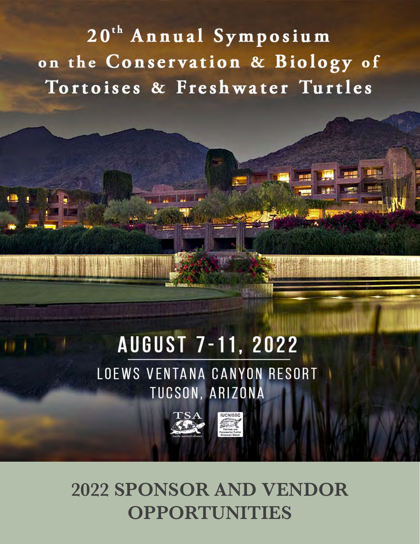20<sup>th</sup> Annual Symposium on the Conservation & Biology of Tortoises & Freshwater Turtles

# **AUGUST 7-11, 2022**

LOEWS VENTANA CANYON RESORT TUCSON, ARIZONA





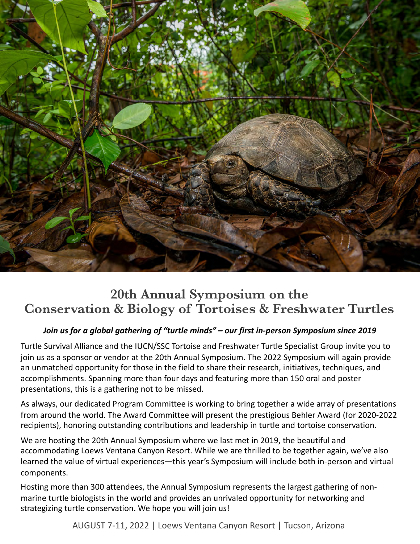

## **20th Annual Symposium on the Conservation & Biology of Tortoises & Freshwater Turtles**

#### *Join us for a global gathering of "turtle minds" – our first in-person Symposium since 2019*

Turtle Survival Alliance and the IUCN/SSC Tortoise and Freshwater Turtle Specialist Group invite you to join us as a sponsor or vendor at the 20th Annual Symposium. The 2022 Symposium will again provide an unmatched opportunity for those in the field to share their research, initiatives, techniques, and accomplishments. Spanning more than four days and featuring more than 150 oral and poster presentations, this is a gathering not to be missed.

As always, our dedicated Program Committee is working to bring together a wide array of presentations from around the world. The Award Committee will present the prestigious Behler Award (for 2020-2022 recipients), honoring outstanding contributions and leadership in turtle and tortoise conservation.

We are hosting the 20th Annual Symposium where we last met in 2019, the beautiful and accommodating Loews Ventana Canyon Resort. While we are thrilled to be together again, we've also learned the value of virtual experiences—this year's Symposium will include both in-person and virtual components.

Hosting more than 300 attendees, the Annual Symposium represents the largest gathering of nonmarine turtle biologists in the world and provides an unrivaled opportunity for networking and strategizing turtle conservation. We hope you will join us!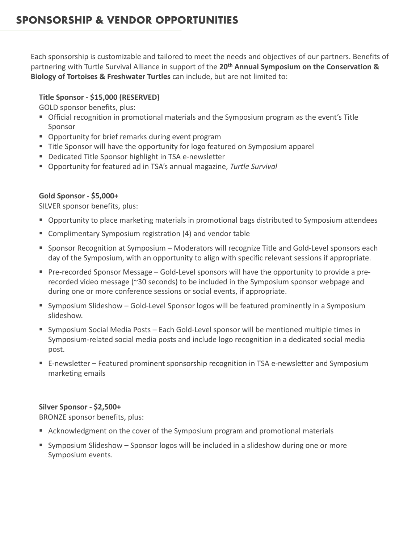## **SPONSORSHIP & VENDOR OPPORTUNITIES**

Each sponsorship is customizable and tailored to meet the needs and objectives of our partners. Benefits of partnering with Turtle Survival Alliance in support of the **20th Annual Symposium on the Conservation & Biology of Tortoises & Freshwater Turtles** can include, but are not limited to:

#### **Title Sponsor - \$15,000 (RESERVED)**

GOLD sponsor benefits, plus:

- Official recognition in promotional materials and the Symposium program as the event's Title Sponsor
- Opportunity for brief remarks during event program
- § Title Sponsor will have the opportunity for logo featured on Symposium apparel
- Dedicated Title Sponsor highlight in TSA e-newsletter
- § Opportunity for featured ad in TSA's annual magazine, *Turtle Survival*

#### **Gold Sponsor - \$5,000+**

SILVER sponsor benefits, plus:

- Opportunity to place marketing materials in promotional bags distributed to Symposium attendees
- Complimentary Symposium registration (4) and vendor table
- Sponsor Recognition at Symposium Moderators will recognize Title and Gold-Level sponsors each day of the Symposium, with an opportunity to align with specific relevant sessions if appropriate.
- § Pre-recorded Sponsor Message Gold-Level sponsors will have the opportunity to provide a prerecorded video message (~30 seconds) to be included in the Symposium sponsor webpage and during one or more conference sessions or social events, if appropriate.
- Symposium Slideshow Gold-Level Sponsor logos will be featured prominently in a Symposium slideshow.
- § Symposium Social Media Posts Each Gold-Level sponsor will be mentioned multiple times in Symposium-related social media posts and include logo recognition in a dedicated social media post.
- E-newsletter Featured prominent sponsorship recognition in TSA e-newsletter and Symposium marketing emails

#### **Silver Sponsor - \$2,500+**

BRONZE sponsor benefits, plus:

- Acknowledgment on the cover of the Symposium program and promotional materials
- Symposium Slideshow Sponsor logos will be included in a slideshow during one or more Symposium events.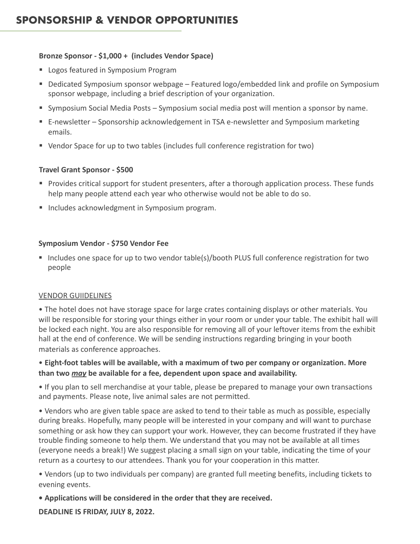#### **Bronze Sponsor - \$1,000 + (includes Vendor Space)**

- Logos featured in Symposium Program
- Dedicated Symposium sponsor webpage Featured logo/embedded link and profile on Symposium sponsor webpage, including a brief description of your organization.
- Symposium Social Media Posts Symposium social media post will mention a sponsor by name.
- E-newsletter Sponsorship acknowledgement in TSA e-newsletter and Symposium marketing emails.
- § Vendor Space for up to two tables (includes full conference registration for two)

#### **Travel Grant Sponsor - \$500**

- Provides critical support for student presenters, after a thorough application process. These funds help many people attend each year who otherwise would not be able to do so.
- Includes acknowledgment in Symposium program.

#### **Symposium Vendor - \$750 Vendor Fee**

■ Includes one space for up to two vendor table(s)/booth PLUS full conference registration for two people

#### VENDOR GUIIDELINES

• The hotel does not have storage space for large crates containing displays or other materials. You will be responsible for storing your things either in your room or under your table. The exhibit hall will be locked each night. You are also responsible for removing all of your leftover items from the exhibit hall at the end of conference. We will be sending instructions regarding bringing in your booth materials as conference approaches.

#### • **Eight-foot tables will be available, with a maximum of two per company or organization. More than two** *may* **be available for a fee, dependent upon space and availability.**

• If you plan to sell merchandise at your table, please be prepared to manage your own transactions and payments. Please note, live animal sales are not permitted.

• Vendors who are given table space are asked to tend to their table as much as possible, especially during breaks. Hopefully, many people will be interested in your company and will want to purchase something or ask how they can support your work. However, they can become frustrated if they have trouble finding someone to help them. We understand that you may not be available at all times (everyone needs a break!) We suggest placing a small sign on your table, indicating the time of your return as a courtesy to our attendees. Thank you for your cooperation in this matter.

• Vendors (up to two individuals per company) are granted full meeting benefits, including tickets to evening events.

**• Applications will be considered in the order that they are received.** 

**DEADLINE IS FRIDAY, JULY 8, 2022.**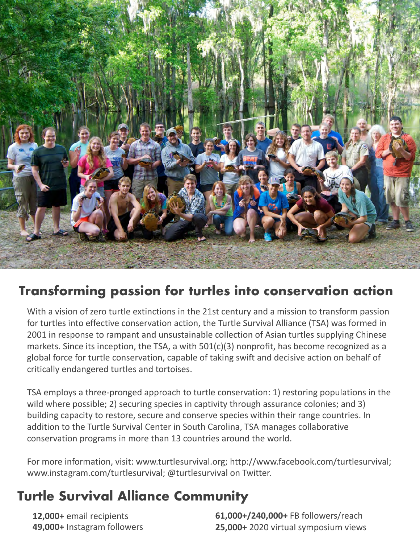

# **Transforming passion for turtles into conservation action**

With a vision of zero turtle extinctions in the 21st century and a mission to transform passion for turtles into effective conservation action, the Turtle Survival Alliance (TSA) was formed in 2001 in response to rampant and unsustainable collection of Asian turtles supplying Chinese markets. Since its inception, the TSA, a with 501(c)(3) nonprofit, has become recognized as a global force for turtle conservation, capable of taking swift and decisive action on behalf of critically endangered turtles and tortoises.

TSA employs a three-pronged approach to turtle conservation: 1) restoring populations in the wild where possible; 2) securing species in captivity through assurance colonies; and 3) building capacity to restore, secure and conserve species within their range countries. In addition to the Turtle Survival Center in South Carolina, TSA manages collaborative conservation programs in more than 13 countries around the world.

For more information, visit: www.turtlesurvival.org; http://www.facebook.com/turtlesurvival; www.instagram.com/turtlesurvival; @turtlesurvival on Twitter.

# **Turtle Survival Alliance Community**

**12,000+** email recipients **49,000+** Instagram followers **61,000+/240,000+** FB followers/reach **25,000+** 2020 virtual symposium views